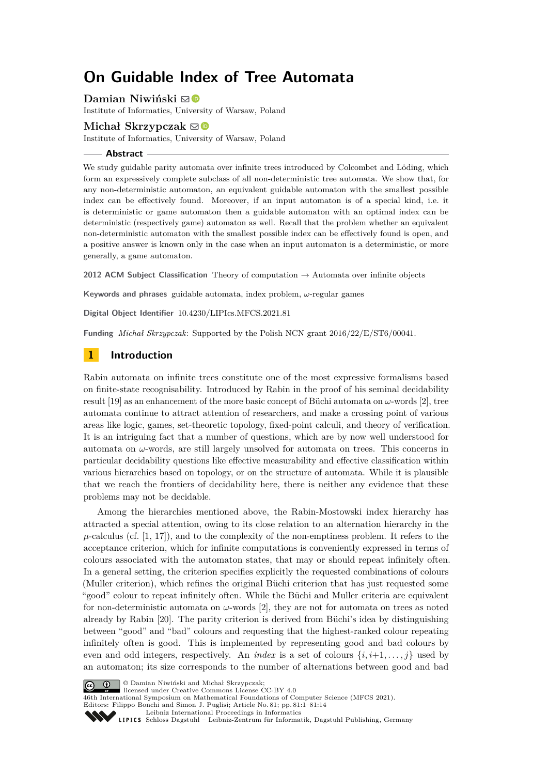# **On Guidable Index of Tree Automata**

**Damian Niwiński** ⊠<sup>®</sup>

Institute of Informatics, University of Warsaw, Poland

## **Michał Skrzypczak**  $\boxtimes$

Institute of Informatics, University of Warsaw, Poland

#### **Abstract**

We study guidable parity automata over infinite trees introduced by Colcombet and Löding, which form an expressively complete subclass of all non-deterministic tree automata. We show that, for any non-deterministic automaton, an equivalent guidable automaton with the smallest possible index can be effectively found. Moreover, if an input automaton is of a special kind, i.e. it is deterministic or game automaton then a guidable automaton with an optimal index can be deterministic (respectively game) automaton as well. Recall that the problem whether an equivalent non-deterministic automaton with the smallest possible index can be effectively found is open, and a positive answer is known only in the case when an input automaton is a deterministic, or more generally, a game automaton.

**2012 ACM Subject Classification** Theory of computation → Automata over infinite objects

**Keywords and phrases** guidable automata, index problem, *ω*-regular games

**Digital Object Identifier** [10.4230/LIPIcs.MFCS.2021.81](https://doi.org/10.4230/LIPIcs.MFCS.2021.81)

**Funding** *Michał Skrzypczak*: Supported by the Polish NCN grant 2016/22/E/ST6/00041.

# **1 Introduction**

Rabin automata on infinite trees constitute one of the most expressive formalisms based on finite-state recognisability. Introduced by Rabin in the proof of his seminal decidability result [\[19\]](#page-13-0) as an enhancement of the more basic concept of Büchi automata on *ω*-words [\[2\]](#page-13-1), tree automata continue to attract attention of researchers, and make a crossing point of various areas like logic, games, set-theoretic topology, fixed-point calculi, and theory of verification. It is an intriguing fact that a number of questions, which are by now well understood for automata on  $\omega$ -words, are still largely unsolved for automata on trees. This concerns in particular decidability questions like effective measurability and effective classification within various hierarchies based on topology, or on the structure of automata. While it is plausible that we reach the frontiers of decidability here, there is neither any evidence that these problems may not be decidable.

Among the hierarchies mentioned above, the Rabin-Mostowski index hierarchy has attracted a special attention, owing to its close relation to an alternation hierarchy in the  $\mu$ -calculus (cf. [\[1,](#page-13-2) [17\]](#page-13-3)), and to the complexity of the non-emptiness problem. It refers to the acceptance criterion, which for infinite computations is conveniently expressed in terms of colours associated with the automaton states, that may or should repeat infinitely often. In a general setting, the criterion specifies explicitly the requested combinations of colours (Muller criterion), which refines the original Büchi criterion that has just requested some "good" colour to repeat infinitely often. While the Büchi and Muller criteria are equivalent for non-deterministic automata on *ω*-words [\[2\]](#page-13-1), they are not for automata on trees as noted already by Rabin [\[20\]](#page-13-4). The parity criterion is derived from Büchi's idea by distinguishing between "good" and "bad" colours and requesting that the highest-ranked colour repeating infinitely often is good. This is implemented by representing good and bad colours by even and odd integers, respectively. An *index* is a set of colours  $\{i, i+1, \ldots, j\}$  used by an automaton; its size corresponds to the number of alternations between good and bad



© Damian Niwiński and Michał Skrzypczak;

licensed under Creative Commons License CC-BY 4.0

46th International Symposium on Mathematical Foundations of Computer Science (MFCS 2021).

Editors: Filippo Bonchi and Simon J. Puglisi; Article No. 81; pp. 81:1–81:14 [Leibniz International Proceedings in Informatics](https://www.dagstuhl.de/lipics/)

SCHLOSS Dagstuhl – Leibniz-Zentrum für Informatik, Dagstuhl Publishing, Germany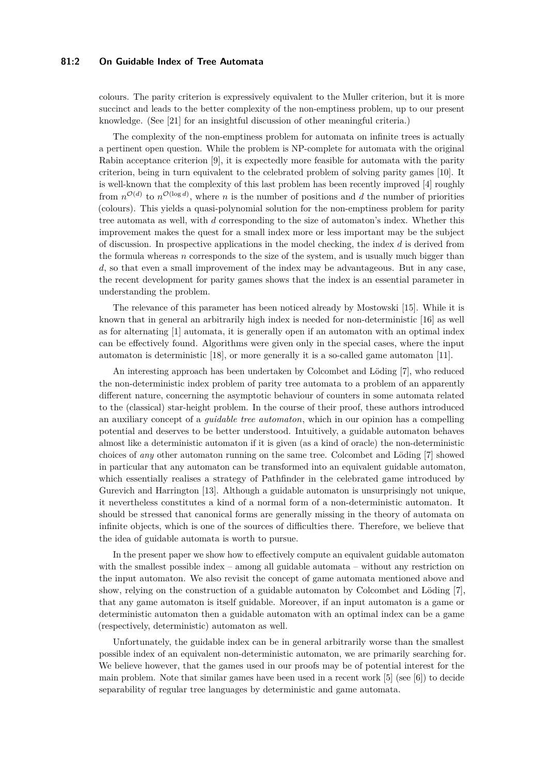## **81:2 On Guidable Index of Tree Automata**

colours. The parity criterion is expressively equivalent to the Muller criterion, but it is more succinct and leads to the better complexity of the non-emptiness problem, up to our present knowledge. (See [\[21\]](#page-13-5) for an insightful discussion of other meaningful criteria.)

The complexity of the non-emptiness problem for automata on infinite trees is actually a pertinent open question. While the problem is NP-complete for automata with the original Rabin acceptance criterion [\[9\]](#page-13-6), it is expectedly more feasible for automata with the parity criterion, being in turn equivalent to the celebrated problem of solving parity games [\[10\]](#page-13-7). It is well-known that the complexity of this last problem has been recently improved [\[4\]](#page-13-8) roughly from  $n^{\mathcal{O}(d)}$  to  $n^{\mathcal{O}(\log d)}$ , where *n* is the number of positions and *d* the number of priorities (colours). This yields a quasi-polynomial solution for the non-emptiness problem for parity tree automata as well, with *d* corresponding to the size of automaton's index. Whether this improvement makes the quest for a small index more or less important may be the subject of discussion. In prospective applications in the model checking, the index *d* is derived from the formula whereas *n* corresponds to the size of the system, and is usually much bigger than *d*, so that even a small improvement of the index may be advantageous. But in any case, the recent development for parity games shows that the index is an essential parameter in understanding the problem.

The relevance of this parameter has been noticed already by Mostowski [\[15\]](#page-13-9). While it is known that in general an arbitrarily high index is needed for non-deterministic [\[16\]](#page-13-10) as well as for alternating [\[1\]](#page-13-2) automata, it is generally open if an automaton with an optimal index can be effectively found. Algorithms were given only in the special cases, where the input automaton is deterministic [\[18\]](#page-13-11), or more generally it is a so-called game automaton [\[11\]](#page-13-12).

An interesting approach has been undertaken by Colcombet and Löding [\[7\]](#page-13-13), who reduced the non-deterministic index problem of parity tree automata to a problem of an apparently different nature, concerning the asymptotic behaviour of counters in some automata related to the (classical) star-height problem. In the course of their proof, these authors introduced an auxiliary concept of a *guidable tree automaton*, which in our opinion has a compelling potential and deserves to be better understood. Intuitively, a guidable automaton behaves almost like a deterministic automaton if it is given (as a kind of oracle) the non-deterministic choices of *any* other automaton running on the same tree. Colcombet and Löding [\[7\]](#page-13-13) showed in particular that any automaton can be transformed into an equivalent guidable automaton, which essentially realises a strategy of Pathfinder in the celebrated game introduced by Gurevich and Harrington [\[13\]](#page-13-14). Although a guidable automaton is unsurprisingly not unique, it nevertheless constitutes a kind of a normal form of a non-deterministic automaton. It should be stressed that canonical forms are generally missing in the theory of automata on infinite objects, which is one of the sources of difficulties there. Therefore, we believe that the idea of guidable automata is worth to pursue.

In the present paper we show how to effectively compute an equivalent guidable automaton with the smallest possible index – among all guidable automata – without any restriction on the input automaton. We also revisit the concept of game automata mentioned above and show, relying on the construction of a guidable automaton by Colcombet and Löding [\[7\]](#page-13-13), that any game automaton is itself guidable. Moreover, if an input automaton is a game or deterministic automaton then a guidable automaton with an optimal index can be a game (respectively, deterministic) automaton as well.

Unfortunately, the guidable index can be in general arbitrarily worse than the smallest possible index of an equivalent non-deterministic automaton, we are primarily searching for. We believe however, that the games used in our proofs may be of potential interest for the main problem. Note that similar games have been used in a recent work [\[5\]](#page-13-15) (see [\[6\]](#page-13-16)) to decide separability of regular tree languages by deterministic and game automata.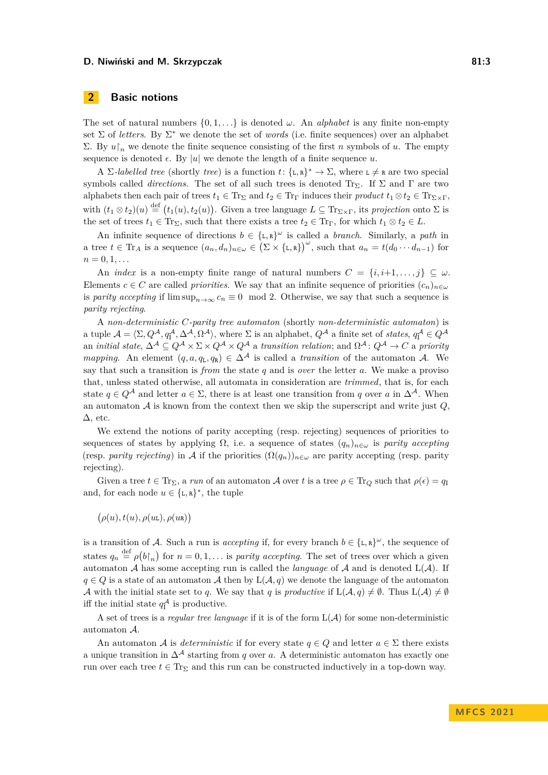# <span id="page-2-0"></span>**2 Basic notions**

The set of natural numbers  $\{0, 1, \ldots\}$  is denoted  $\omega$ . An *alphabet* is any finite non-empty set Σ of *letters*. By Σ <sup>∗</sup> we denote the set of *words* (i.e. finite sequences) over an alphabet Σ. By  $u\upharpoonright_n$  we denote the finite sequence consisting of the first *n* symbols of *u*. The empty sequence is denoted  $\epsilon$ . By |*u*| we denote the length of a finite sequence *u*.

A  $\Sigma$ -labelled tree (shortly tree) is a function  $t: \{\texttt{L}, \texttt{R}\}^* \to \Sigma$ , where  $\texttt{L} \neq \texttt{R}$  are two special symbols called *directions*. The set of all such trees is denoted Tr<sub>Σ</sub>. If  $\Sigma$  and  $\Gamma$  are two alphabets then each pair of trees  $t_1 \in \text{Tr}_{\Sigma}$  and  $t_2 \in \text{Tr}_{\Gamma}$  induces their *product*  $t_1 \otimes t_2 \in \text{Tr}_{\Sigma \times \Gamma}$ , with  $(t_1 \otimes t_2)(u) \stackrel{\text{def}}{=} (t_1(u), t_2(u))$ . Given a tree language  $L \subseteq \text{Tr}_{\Sigma \times \Gamma}$ , its *projection* onto  $\Sigma$  is the set of trees  $t_1 \in \text{Tr}_{\Sigma}$ , such that there exists a tree  $t_2 \in \text{Tr}_{\Gamma}$ , for which  $t_1 \otimes t_2 \in L$ .

An infinite sequence of directions  $b \in \{L, R\}^{\omega}$  is called a *branch*. Similarly, a *path* in a tree  $t \in \text{Tr}_A$  is a sequence  $(a_n, d_n)_{n \in \omega} \in (\Sigma \times {\{\text{L}, \text{R}\}})^\omega$ , such that  $a_n = t(d_0 \cdots d_{n-1})$  for  $n = 0, 1, \ldots$ 

An *index* is a non-empty finite range of natural numbers  $C = \{i, i+1, \ldots, j\} \subseteq \omega$ . Elements *c* ∈ *C* are called *priorities*. We say that an infinite sequence of priorities  $(c_n)_{n \in \omega}$ is *parity accepting* if  $\limsup_{n\to\infty} c_n \equiv 0 \mod 2$ . Otherwise, we say that such a sequence is *parity rejecting*.

A *non-deterministic C-parity tree automaton* (shortly *non-deterministic automaton*) is a tuple  $\mathcal{A} = \langle \Sigma, Q^{\mathcal{A}}, q_1^{\mathcal{A}}, \Delta^{\mathcal{A}}, \Omega^{\mathcal{A}} \rangle$ , where  $\Sigma$  is an alphabet,  $Q^{\mathcal{A}}$  a finite set of *states*,  $q_1^{\mathcal{A}} \in Q^{\mathcal{A}}$ an *initial state*,  $\Delta^{\mathcal{A}} \subseteq Q^{\mathcal{A}} \times \Sigma \times Q^{\mathcal{A}} \times Q^{\mathcal{A}}$  a *transition relation*; and  $\Omega^{\mathcal{A}} \colon Q^{\mathcal{A}} \to C$  a *priority mapping.* An element  $(q, a, q_L, q_R) \in \Delta^{\mathcal{A}}$  is called a *transition* of the automaton A. We say that such a transition is *from* the state *q* and is *over* the letter *a*. We make a proviso that, unless stated otherwise, all automata in consideration are *trimmed*, that is, for each state  $q \in Q^{\mathcal{A}}$  and letter  $a \in \Sigma$ , there is at least one transition from *q* over *a* in  $\Delta^{\mathcal{A}}$ . When an automaton A is known from the context then we skip the superscript and write just *Q*,  $\Delta$ , etc.

We extend the notions of parity accepting (resp. rejecting) sequences of priorities to sequences of states by applying  $\Omega$ , i.e. a sequence of states  $(q_n)_{n \in \omega}$  is *parity accepting* (resp. *parity rejecting*) in A if the priorities  $(\Omega(q_n))_{n\in\omega}$  are parity accepting (resp. parity rejecting).

Given a tree  $t \in \text{Tr}_{\Sigma}$ , a *run* of an automaton A over t is a tree  $\rho \in \text{Tr}_{Q}$  such that  $\rho(\epsilon) = q_{\text{I}}$ and, for each node  $u \in {\{\texttt{L},\texttt{R}\}}^*$ , the tuple

*ρ*(*u*)*, t*(*u*)*, ρ*(*u*L)*, ρ*(*u*R)

is a transition of A. Such a run is *accepting* if, for every branch  $b \in \{\text{\texttt{L}}, \text{\texttt{R}}\}^{\omega}$ , the sequence of states  $q_n \stackrel{\text{def}}{=} \rho(b \upharpoonright_n)$  for  $n = 0, 1, \ldots$  is *parity accepting*. The set of trees over which a given automaton  $A$  has some accepting run is called the *language* of  $A$  and is denoted  $L(A)$ . If  $q \in Q$  is a state of an automaton A then by  $L(\mathcal{A}, q)$  we denote the language of the automaton A with the initial state set to q. We say that q is *productive* if  $L(\mathcal{A}, q) \neq \emptyset$ . Thus  $L(\mathcal{A}) \neq \emptyset$ iff the initial state  $q_1^{\mathcal{A}}$  is productive.

A set of trees is a *regular tree language* if it is of the form  $L(\mathcal{A})$  for some non-deterministic automaton A.

An automaton A is *deterministic* if for every state  $q \in Q$  and letter  $a \in \Sigma$  there exists a unique transition in  $\Delta^{\mathcal{A}}$  starting from *q* over *a*. A deterministic automaton has exactly one run over each tree  $t \in \text{Tr}_{\Sigma}$  and this run can be constructed inductively in a top-down way.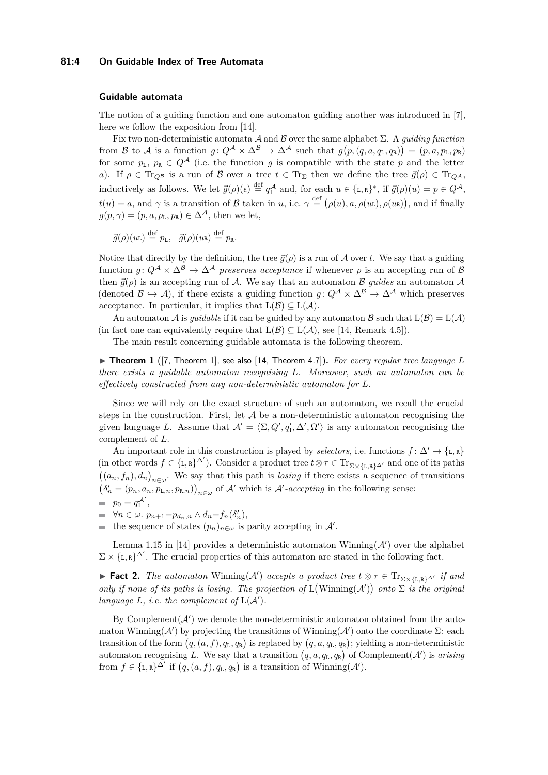## **81:4 On Guidable Index of Tree Automata**

#### **Guidable automata**

The notion of a guiding function and one automaton guiding another was introduced in [\[7\]](#page-13-13), here we follow the exposition from [\[14\]](#page-13-17).

Fix two non-deterministic automata  $\mathcal A$  and  $\mathcal B$  over the same alphabet  $\Sigma$ . A *quiding function* from B to A is a function  $g: Q^{\mathcal{A}} \times \Delta^{\mathcal{B}} \to \Delta^{\mathcal{A}}$  such that  $g(p,(q,a,q_{\text{L}},q_{\text{R}})) = (p,a,p_{\text{L}},p_{\text{R}})$ for some  $p_L$ ,  $p_R \in Q^{\mathcal{A}}$  (i.e. the function *g* is compatible with the state *p* and the letter *a*). If  $\rho \in \text{Tr}_{Q^{\mathcal{B}}}$  is a run of B over a tree  $t \in \text{Tr}_{\Sigma}$  then we define the tree  $\vec{g}(\rho) \in \text{Tr}_{Q^{\mathcal{A}}}$ , inductively as follows. We let  $\vec{g}(\rho)(\epsilon) \stackrel{\text{def}}{=} q_1^{\mathcal{A}}$  and, for each  $u \in {\{\text{I},\text{R}\}}^*$ , if  $\vec{g}(\rho)(u) = p \in Q^{\mathcal{A}}$ ,  $t(u) = a$ , and *γ* is a transition of *B* taken in *u*, i.e.  $\gamma \stackrel{\text{def}}{=} (\rho(u), a, \rho(u), \rho(u))$ , and if finally  $g(p, \gamma) = (p, a, p_L, p_R) \in \Delta^{\mathcal{A}}$ , then we let,

$$
\vec{g}(\rho)(u\mathbf{L}) \stackrel{\text{def}}{=} p_{\mathbf{L}}, \quad \vec{g}(\rho)(u\mathbf{R}) \stackrel{\text{def}}{=} p_{\mathbf{R}}.
$$

Notice that directly by the definition, the tree  $\vec{q}(\rho)$  is a run of A over *t*. We say that a guiding function  $g: Q^{\mathcal{A}} \times \Delta^{\mathcal{B}} \to \Delta^{\mathcal{A}}$  *preserves acceptance* if whenever  $\rho$  is an accepting run of  $\mathcal{B}$ then  $\vec{g}(\rho)$  is an accepting run of A. We say that an automaton B *guides* an automaton A (denoted  $\mathcal{B} \hookrightarrow \mathcal{A}$ ), if there exists a guiding function *q*:  $Q^{\mathcal{A}} \times \Delta^{\mathcal{B}} \to \Delta^{\mathcal{A}}$  which preserves acceptance. In particular, it implies that  $L(\mathcal{B}) \subseteq L(\mathcal{A})$ .

An automaton A is *quidable* if it can be guided by any automaton B such that  $L(\mathcal{B}) = L(\mathcal{A})$ (in fact one can equivalently require that  $L(\mathcal{B}) \subseteq L(\mathcal{A})$ , see [\[14,](#page-13-17) Remark 4.5]).

The main result concerning guidable automata is the following theorem.

<span id="page-3-0"></span> $\triangleright$  **Theorem 1** ([\[7,](#page-13-13) Theorem 1], see also [\[14,](#page-13-17) Theorem 4.7]). For every regular tree language L *there exists a guidable automaton recognising L. Moreover, such an automaton can be effectively constructed from any non-deterministic automaton for L.*

Since we will rely on the exact structure of such an automaton, we recall the crucial steps in the construction. First, let  $A$  be a non-deterministic automaton recognising the given language *L*. Assume that  $\mathcal{A}' = \langle \Sigma, Q', q'_1, \Delta', \Omega' \rangle$  is any automaton recognising the complement of *L*.

An important role in this construction is played by *selectors*, i.e. functions  $f: \Delta' \to \{L, \mathbb{R}\}\$ (in other words  $f \in {\{\text{L},\text{R}\}}^{\Delta'}$ ). Consider a product tree  $t \otimes \tau \in \text{Tr}_{\Sigma \times {\{\text{L},\text{R}\}}^{\Delta'}}$  and one of its paths  $((a_n, f_n), d_n)_{n \in \omega}$ . We say that this path is *losing* if there exists a sequence of transitions  $(\delta'_n = (p_n, a_n, p_{\text{L},n}, p_{\text{R},n})\big)_{n \in \omega}$  of A' which is A'-accepting in the following sense:  $\mathcal{A}'$ 

$$
= p_0 = q_1^{\mathcal{A}'},
$$

- $\forall n \in \omega$ .  $p_{n+1} = p_{d_n, n} \wedge d_n = f_n(\delta'_n),$
- the sequence of states  $(p_n)_{n \in \omega}$  is parity accepting in  $\mathcal{A}'$ .

Lemma 1.15 in [\[14\]](#page-13-17) provides a deterministic automaton Winning( $\mathcal{A}'$ ) over the alphabet  $\Sigma \times \{\mathbf{L}, \mathbf{R}\}^{\Delta'}$ . The crucial properties of this automaton are stated in the following fact.

▶ **Fact 2.** *The automaton* Winning( $\mathcal{A}'$ ) *accepts a product tree*  $t \otimes \tau \in \text{Tr}_{\Sigma \times \{L,R\}^{\Delta'}}$  *if and only if none of its paths is losing. The projection of*  $L(Winning(\mathcal{A}'))$  *onto*  $\Sigma$  *is the original language*  $L$ *, i.e. the complement of*  $L(A')$ *.* 

By Complement $(\mathcal{A}')$  we denote the non-deterministic automaton obtained from the automaton Winning( $\mathcal{A}'$ ) by projecting the transitions of Winning( $\mathcal{A}'$ ) onto the coordinate  $\Sigma$ : each transition of the form  $(q, (a, f), q_{\text{L}}, q_{\text{R}})$  is replaced by  $(q, a, q_{\text{L}}, q_{\text{R}})$ ; yielding a non-deterministic automaton recognising L. We say that a transition  $(q, a, q_L, q_R)$  of Complement( $\mathcal{A}'$ ) is *arising* from  $f \in {\{\text{\text{\texttt{L}}}, \text{\text{\texttt{R}}}}\}^{\Delta'}$  if  $(q, (a, f), q_{\text{\text{\texttt{L}}}}, q_{\text{\text{\texttt{R}}}})$  is a transition of Winning( $\mathcal{A}'$ ).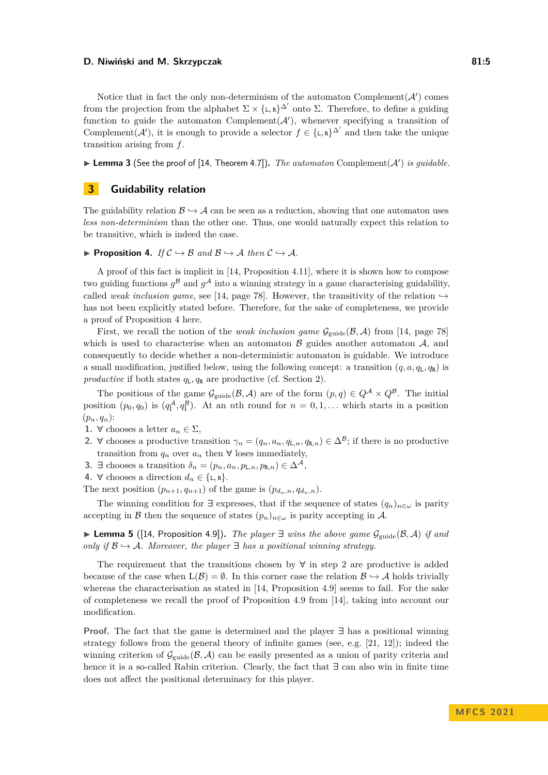Notice that in fact the only non-determinism of the automaton Complement $(\mathcal{A}')$  comes from the projection from the alphabet  $\Sigma \times \{\mathbf{L}, \mathbf{R}\}^{\Delta'}$  onto  $\Sigma$ . Therefore, to define a guiding function to guide the automaton Complement $(A')$ , whenever specifying a transition of Complement( $\mathcal{A}'$ ), it is enough to provide a selector  $f \in \{\text{\textit{L}}, \text{\textit{R}}\}^{\Delta'}$  and then take the unique transition arising from *f*.

 $\blacktriangleright$  **Lemma 3** (See the proof of [\[14,](#page-13-17) Theorem 4.7]). *The automaton* Complement( $A'$ ) *is guidable.* 

# **3 Guidability relation**

The guidability relation  $\mathcal{B} \hookrightarrow \mathcal{A}$  can be seen as a reduction, showing that one automaton uses *less non-determinism* than the other one. Thus, one would naturally expect this relation to be transitive, which is indeed the case.

<span id="page-4-0"></span>▶ **Proposition 4.** *If*  $C$   $\rightarrow$  B *and*  $B$   $\rightarrow$  A *then*  $C$   $\rightarrow$  A.

A proof of this fact is implicit in [\[14,](#page-13-17) Proposition 4.11], where it is shown how to compose two guiding functions  $g^{\mathcal{B}}$  and  $g^{\mathcal{A}}$  into a winning strategy in a game characterising guidability, called *weak inclusion game*, see [\[14,](#page-13-17) page 78]. However, the transitivity of the relation  $\rightarrow$ has not been explicitly stated before. Therefore, for the sake of completeness, we provide a proof of Proposition [4](#page-4-0) here.

First, we recall the notion of the *weak inclusion game*  $\mathcal{G}_{\text{guide}}(\mathcal{B}, \mathcal{A})$  from [\[14,](#page-13-17) page 78] which is used to characterise when an automaton  $\beta$  guides another automaton  $\mathcal{A}$ , and consequently to decide whether a non-deterministic automaton is guidable. We introduce a small modification, justified below, using the following concept: a transition  $(q, a, q_L, q_R)$  is *productive* if both states  $q_L, q_R$  are productive (cf. Section [2\)](#page-2-0).

The positions of the game  $\mathcal{G}_{\text{guide}}(\mathcal{B}, \mathcal{A})$  are of the form  $(p, q) \in Q^{\mathcal{A}} \times Q^{\mathcal{B}}$ . The initial position  $(p_0, q_0)$  is  $(q_1^{\mathcal{A}}, q_1^{\mathcal{B}})$ . At an *n*th round for  $n = 0, 1, \ldots$  which starts in a position  $(p_n, q_n)$ :

- **1. ∀** chooses a letter *a<sup>n</sup>* ∈ Σ,
- <span id="page-4-1"></span>**2.**  $\forall$  chooses a productive transition  $\gamma_n = (q_n, a_n, q_{\text{L},n}, q_{\text{R},n}) \in \Delta^{\mathcal{B}}$ ; if there is no productive transition from  $q_n$  over  $a_n$  then  $\forall$  loses immediately,
- **3. ∃** chooses a transition  $\delta_n = (p_n, a_n, p_{\text{L},n}, p_{\text{R},n}) \in \Delta^{\mathcal{A}}$ ,
- 4.  $\forall$  chooses a direction  $d_n \in \{\text{\texttt{L}}, \text{\texttt{R}}\}.$

The next position  $(p_{n+1}, q_{n+1})$  of the game is  $(p_{d_n,n}, q_{d_n,n})$ .

The winning condition for  $\exists$  expresses, that if the sequence of states  $(q_n)_{n \in \omega}$  is parity accepting in B then the sequence of states  $(p_n)_{n \in \omega}$  is parity accepting in A.

<span id="page-4-2"></span>▶ **Lemma 5** ([\[14,](#page-13-17) Proposition 4.9]). *The player*  $\exists$  *wins the above game*  $\mathcal{G}_{\text{guide}}(\mathcal{B}, \mathcal{A})$  *if and only if*  $\mathcal{B} \hookrightarrow \mathcal{A}$ *. Moreover, the player*  $\exists$  *has a positional winning strategy.* 

The requirement that the transitions chosen by **∀** in step [2](#page-4-1) are productive is added because of the case when  $L(\mathcal{B}) = \emptyset$ . In this corner case the relation  $\mathcal{B} \hookrightarrow \mathcal{A}$  holds trivially whereas the characterisation as stated in [\[14,](#page-13-17) Proposition 4.9] seems to fail. For the sake of completeness we recall the proof of Proposition 4.9 from [\[14\]](#page-13-17), taking into account our modification.

**Proof.** The fact that the game is determined and the player **∃** has a positional winning strategy follows from the general theory of infinite games (see, e.g. [\[21,](#page-13-5) [12\]](#page-13-18)); indeed the winning criterion of  $\mathcal{G}_{\text{guide}}(\mathcal{B}, \mathcal{A})$  can be easily presented as a union of parity criteria and hence it is a so-called Rabin criterion. Clearly, the fact that **∃** can also win in finite time does not affect the positional determinacy for this player.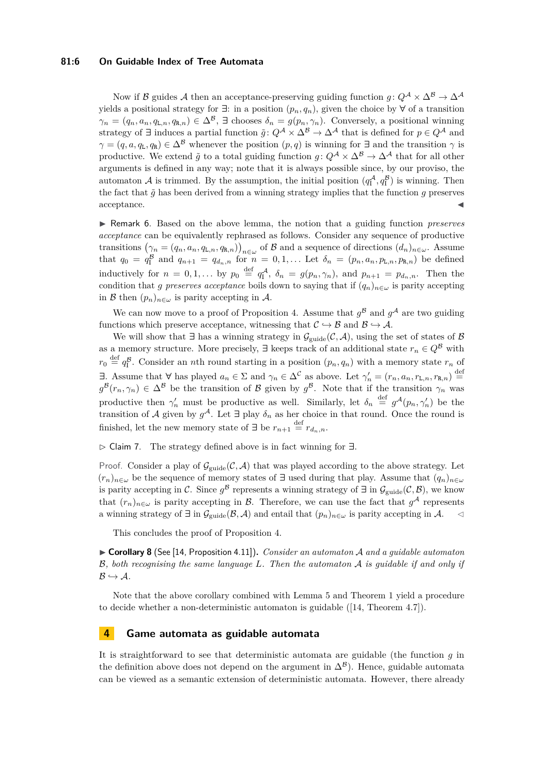## **81:6 On Guidable Index of Tree Automata**

Now if B guides A then an acceptance-preserving guiding function  $g: Q^{\mathcal{A}} \times \Delta^{\mathcal{B}} \to \Delta^{\mathcal{A}}$ yields a positional strategy for  $∃$ : in a position  $(p_n, q_n)$ , given the choice by  $∀$  of a transition  $\gamma_n = (q_n, a_n, q_{\text{L},n}, q_{\text{R},n}) \in \Delta^{\mathcal{B}}$ ,  $\exists$  chooses  $\delta_n = g(p_n, \gamma_n)$ . Conversely, a positional winning strategy of **∃** induces a partial function  $\tilde{g}: Q^{\mathcal{A}} \times \Delta^{\mathcal{B}} \to \Delta^{\mathcal{A}}$  that is defined for  $p \in Q^{\mathcal{A}}$  and  $\gamma = (q, a, q_L, q_R) \in \Delta^{\mathcal{B}}$  whenever the position  $(p, q)$  is winning for **∃** and the transition  $\gamma$  is productive. We extend  $\tilde{q}$  to a total guiding function  $q: Q^{\mathcal{A}} \times \Delta^{\mathcal{B}} \to \Delta^{\mathcal{A}}$  that for all other arguments is defined in any way; note that it is always possible since, by our proviso, the automaton A is trimmed. By the assumption, the initial position  $(q_1^{\mathcal{A}}, q_1^{\mathcal{B}})$  is winning. Then the fact that  $\tilde{g}$  has been derived from a winning strategy implies that the function  $g$  preserves acceptance.

<span id="page-5-0"></span>▶ Remark 6. Based on the above lemma, the notion that a guiding function *preserves acceptance* can be equivalently rephrased as follows. Consider any sequence of productive transitions  $(\gamma_n = (q_n, a_n, q_{\text{L},n}, q_{\text{R},n})\big)_{n \in \omega}$  of B and a sequence of directions  $(d_n)_{n \in \omega}$ . Assume that  $q_0 = q_1^B$  and  $q_{n+1} = q_{d_n,n}$  for  $n = 0,1,...$  Let  $\delta_n = (p_n, a_n, p_{L,n}, p_{R,n})$  be defined inductively for  $n = 0, 1, \ldots$  by  $p_0 \stackrel{\text{def}}{=} q_1^{\mathcal{A}}, \delta_n = g(p_n, \gamma_n)$ , and  $p_{n+1} = p_{d_n, n}$ . Then the condition that *g* preserves acceptance boils down to saying that if  $(q_n)_{n \in \omega}$  is parity accepting in B then  $(p_n)_{n \in \omega}$  is parity accepting in A.

We can now move to a proof of Proposition [4.](#page-4-0) Assume that  $g^{\beta}$  and  $g^{\mathcal{A}}$  are two guiding functions which preserve acceptance, witnessing that  $\mathcal{C} \hookrightarrow \mathcal{B}$  and  $\mathcal{B} \hookrightarrow \mathcal{A}$ .

We will show that  $\exists$  has a winning strategy in  $\mathcal{G}_{\text{guide}}(\mathcal{C}, \mathcal{A})$ , using the set of states of  $\mathcal{B}$ as a memory structure. More precisely,  $\exists$  keeps track of an additional state  $r_n \in Q^{\mathcal{B}}$  with  $r_0 \stackrel{\text{def}}{=} q_1^{\mathcal{B}}$ . Consider an *n*th round starting in a position  $(p_n, q_n)$  with a memory state  $r_n$  of **∃**. Assume that  $\forall$  has played  $a_n \in \Sigma$  and  $\gamma_n \in \Delta^{\mathcal{C}}$  as above. Let  $\gamma'_n = (r_n, a_n, r_{\text{L},n}, r_{\text{R},n}) \stackrel{\text{def}}{=}$  $g^{\mathcal{B}}(r_n,\gamma_n) \in \Delta^{\mathcal{B}}$  be the transition of  $\mathcal{B}$  given by  $g^{\mathcal{B}}$ . Note that if the transition  $\gamma_n$  was productive then  $\gamma'_n$  must be productive as well. Similarly, let  $\delta_n \stackrel{\text{def}}{=} g^{\mathcal{A}}(p_n, \gamma'_n)$  be the transition of A given by  $g^{\mathcal{A}}$ . Let  $\exists$  play  $\delta_n$  as her choice in that round. Once the round is finished, let the new memory state of  $\exists$  be  $r_{n+1} \stackrel{\text{def}}{=} r_{d_n,n}$ .

▷ Claim 7. The strategy defined above is in fact winning for **∃**.

Proof. Consider a play of  $\mathcal{G}_{\text{guide}}(\mathcal{C}, \mathcal{A})$  that was played according to the above strategy. Let  $(r_n)_{n \in \omega}$  be the sequence of memory states of  $\exists$  used during that play. Assume that  $(q_n)_{n \in \omega}$ is parity accepting in C. Since  $g^{\mathcal{B}}$  represents a winning strategy of  $\exists$  in  $\mathcal{G}_{\text{guide}}(\mathcal{C}, \mathcal{B})$ , we know that  $(r_n)_{n\in\omega}$  is parity accepting in  $\beta$ . Therefore, we can use the fact that  $g^{\mathcal{A}}$  represents a winning strategy of  $\exists$  in  $\mathcal{G}_{\text{guide}}(\mathcal{B}, \mathcal{A})$  and entail that  $(p_n)_{n \in \omega}$  is parity accepting in  $\mathcal{A}$ .

This concludes the proof of Proposition [4.](#page-4-0)

<span id="page-5-1"></span>▶ **Corollary 8** (See [\[14,](#page-13-17) Proposition 4.11])**.** *Consider an automaton* A *and a guidable automaton* B*, both recognising the same language L. Then the automaton* A *is guidable if and only if*  $\mathcal{B} \hookrightarrow \mathcal{A}$ *.* 

Note that the above corollary combined with Lemma [5](#page-4-2) and Theorem [1](#page-3-0) yield a procedure to decide whether a non-deterministic automaton is guidable ([\[14,](#page-13-17) Theorem 4.7]).

## **4 Game automata as guidable automata**

It is straightforward to see that deterministic automata are guidable (the function *g* in the definition above does not depend on the argument in  $\Delta^{\mathcal{B}}$ ). Hence, guidable automata can be viewed as a semantic extension of deterministic automata. However, there already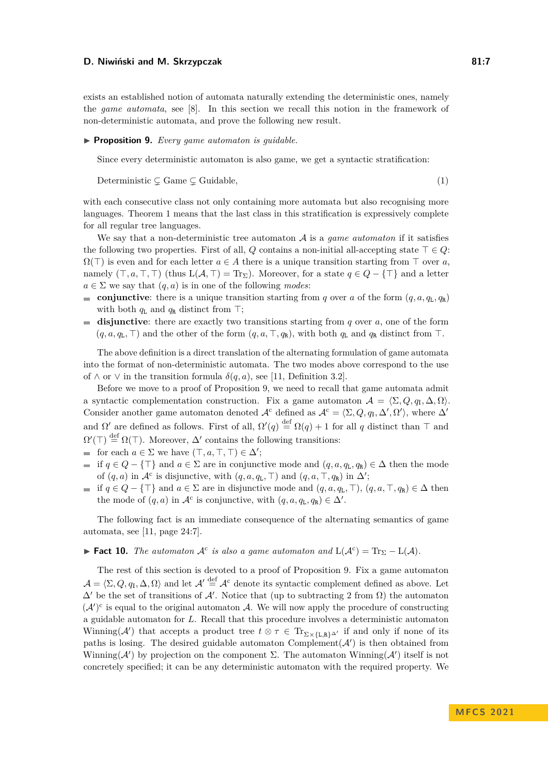exists an established notion of automata naturally extending the deterministic ones, namely the *game automata*, see [\[8\]](#page-13-19). In this section we recall this notion in the framework of non-deterministic automata, and prove the following new result.

#### <span id="page-6-0"></span>▶ **Proposition 9.** *Every game automaton is guidable.*

<span id="page-6-1"></span>Since every deterministic automaton is also game, we get a syntactic stratification:

$$
Determine \subsetneq Game \subsetneq Guide,
$$
\n
$$
(1)
$$

with each consecutive class not only containing more automata but also recognising more languages. Theorem [1](#page-3-0) means that the last class in this stratification is expressively complete for all regular tree languages.

We say that a non-deterministic tree automaton  $A$  is a *game automaton* if it satisfies the following two properties. First of all, *Q* contains a non-initial all-accepting state  $\top \in Q$ :  $\Omega(\top)$  is even and for each letter  $a \in A$  there is a unique transition starting from  $\top$  over  $a$ , namely  $(T, a, T, T)$  (thus  $L(A, T) = Tr_{\Sigma}$ ). Moreover, for a state  $q \in Q - \{T\}$  and a letter  $a \in \Sigma$  we say that  $(q, a)$  is in one of the following *modes*:

- **conjunctive**: there is a unique transition starting from *q* over *a* of the form  $(q, a, q_L, q_R)$ with both  $q_L$  and  $q_R$  distinct from ⊤;
- **disjunctive**: there are exactly two transitions starting from *q* over *a*, one of the form  $(q, a, q_L, \top)$  and the other of the form  $(q, a, \top, q_R)$ , with both  $q_L$  and  $q_R$  distinct from ⊤.

The above definition is a direct translation of the alternating formulation of game automata into the format of non-deterministic automata. The two modes above correspond to the use of  $\wedge$  or  $\vee$  in the transition formula  $\delta(q, a)$ , see [\[11,](#page-13-12) Definition 3.2].

Before we move to a proof of Proposition [9,](#page-6-0) we need to recall that game automata admit a syntactic complementation construction. Fix a game automaton  $\mathcal{A} = \langle \Sigma, Q, q_I, \Delta, \Omega \rangle$ . Consider another game automaton denoted  $\mathcal{A}^c$  defined as  $\mathcal{A}^c = \langle \Sigma, Q, q_I, \Delta', \Omega' \rangle$ , where  $\Delta'$ and  $\Omega'$  are defined as follows. First of all,  $\Omega'(q) \stackrel{\text{def}}{=} \Omega(q) + 1$  for all q distinct than  $\top$  and  $\Omega'(\top) \stackrel{\text{def}}{=} \Omega(\top)$ . Moreover,  $\Delta'$  contains the following transitions:

- for each  $a \in \Sigma$  we have  $(\top, a, \top, \top) \in \Delta'$ ;
- $\blacksquare$  if *q* ∈ *Q* − {⊤} and *a* ∈ Σ are in conjunctive mode and  $(q, a, q_L, q_R) \in \Delta$  then the mode of  $(q, a)$  in  $\mathcal{A}^c$  is disjunctive, with  $(q, a, q_L, \top)$  and  $(q, a, \top, q_R)$  in  $\Delta'$ ;
- **i** if  $q \in Q \{\top\}$  and  $a \in \Sigma$  are in disjunctive mode and  $(q, a, q_L, \top), (q, a, \top, q_R) \in \Delta$  then the mode of  $(q, a)$  in  $\mathcal{A}^c$  is conjunctive, with  $(q, a, q_L, q_R) \in \Delta'$ .

The following fact is an immediate consequence of the alternating semantics of game automata, see [\[11,](#page-13-12) page 24:7].

# ► **Fact 10.** *The automaton*  $\mathcal{A}^c$  *is also a game automaton and*  $L(\mathcal{A}^c) = Tr_{\Sigma} - L(\mathcal{A})$ *.*

The rest of this section is devoted to a proof of Proposition [9.](#page-6-0) Fix a game automaton  $\mathcal{A} = \langle \Sigma, Q, q_I, \Delta, \Omega \rangle$  and let  $\mathcal{A}' \stackrel{\text{def}}{=} \mathcal{A}^c$  denote its syntactic complement defined as above. Let  $\Delta'$  be the set of transitions of A'. Notice that (up to subtracting 2 from  $\Omega$ ) the automaton  $({\cal A}')^c$  is equal to the original automaton A. We will now apply the procedure of constructing a guidable automaton for *L*. Recall that this procedure involves a deterministic automaton Winning( $\mathcal{A}'$ ) that accepts a product tree  $t \otimes \tau \in \text{Tr}_{\Sigma \times \{L,R\}^{\Delta'}}$  if and only if none of its paths is losing. The desired guidable automaton Complement( $A'$ ) is then obtained from Winning( $\mathcal{A}'$ ) by projection on the component  $\Sigma$ . The automaton Winning( $\mathcal{A}'$ ) itself is not concretely specified; it can be any deterministic automaton with the required property. We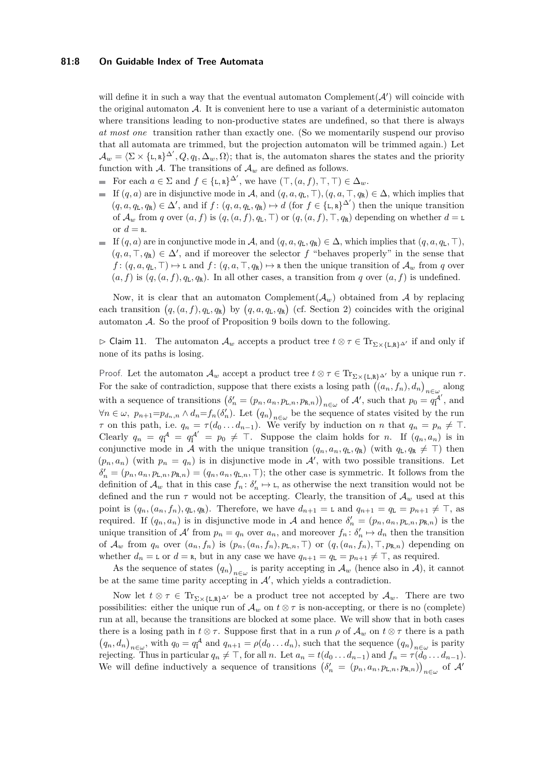#### **81:8 On Guidable Index of Tree Automata**

will define it in such a way that the eventual automaton Complement $(\mathcal{A}')$  will coincide with the original automaton  $\mathcal{A}$ . It is convenient here to use a variant of a deterministic automaton where transitions leading to non-productive states are undefined, so that there is always *at most one* transition rather than exactly one. (So we momentarily suspend our proviso that all automata are trimmed, but the projection automaton will be trimmed again.) Let  $\mathcal{A}_w = \langle \Sigma \times \{\mathbf{L}, \mathbf{R}\}^{\Delta'}, Q, q_{\mathbf{I}}, \Delta_w, \Omega \rangle$ ; that is, the automaton shares the states and the priority function with A. The transitions of  $A_w$  are defined as follows.

- For each  $a \in \Sigma$  and  $f \in {\{\text{L},\text{R}\}}^{\Delta'}$ , we have  $(\top,(a,f),\top,\top) \in \Delta_w$ .
- If  $(q, a)$  are in disjunctive mode in A, and  $(q, a, q_L, \top)$ ,  $(q, a, \top, q_R) \in \Delta$ , which implies that  $(q, a, q_L, q_R) \in \Delta'$ , and if  $f: (q, a, q_L, q_R) \mapsto d$  (for  $f \in {\{\text{L}, \text{R}\}}^{\Delta'}$ ) then the unique transition of  $\mathcal{A}_w$  from *q* over  $(a, f)$  is  $(q, (a, f), q_L, T)$  or  $(q, (a, f), T, q_R)$  depending on whether  $d = L$ or  $d = \mathbf{r}$ .
- If (*q, a*) are in conjunctive mode in A, and (*q, a, q*L*, q*R) ∈ ∆, which implies that (*q, a, q*L*,* ⊤)*,*  $(q, a, \top, q_R) \in \Delta'$ , and if moreover the selector f "behaves properly" in the sense that  $f: (q, a, q_L, \top) \mapsto L$  and  $f: (q, a, \top, q_R) \mapsto R$  then the unique transition of  $\mathcal{A}_w$  from *q* over  $(a, f)$  is  $(q, (a, f), q_L, q_R)$ . In all other cases, a transition from *q* over  $(a, f)$  is undefined.

Now, it is clear that an automaton Complement( $A_w$ ) obtained from A by replacing each transition  $(q, (a, f), q_\text{L}, q_\text{R})$  by  $(q, a, q_\text{L}, q_\text{R})$  (cf. Section [2\)](#page-2-0) coincides with the original automaton A. So the proof of Proposition [9](#page-6-0) boils down to the following.

<span id="page-7-0"></span> $\rhd$  Claim 11. The automaton  $\mathcal{A}_w$  accepts a product tree *t* ⊗ *τ* ∈ Tr<sub>Σ×{L,R}</sub>∆' if and only if none of its paths is losing.

Proof. Let the automaton  $\mathcal{A}_w$  accept a product tree  $t \otimes \tau \in \text{Tr}_{\Sigma \times \{\text{L}, \text{R}\}\Delta'}$  by a unique run  $\tau$ . For the sake of contradiction, suppose that there exists a losing path  $((a_n, f_n), d_n)_{n \in \omega}$  along with a sequence of transitions  $(\delta'_n = (p_n, a_n, p_{\text{L},n}, p_{\text{R},n})\big)_{n \in \omega}$  of A', such that  $p_0 = q_1^{\mathcal{A}'}$ , and  $\forall n \in \omega$ ,  $p_{n+1} = p_{d_n,n} \wedge d_n = f_n(\delta'_n)$ . Let  $(q_n)_{n \in \omega}$  be the sequence of states visited by the run *τ* on this path, i.e.  $q_n = \tau(d_0 \dots d_{n-1})$ . We verify by induction on *n* that  $q_n = p_n \neq \top$ . Clearly  $q_n = q_1^{\mathcal{A}} = q_1^{\mathcal{A}'} = p_0 \neq \top$ . Suppose the claim holds for *n*. If  $(q_n, a_n)$  is in conjunctive mode in A with the unique transition  $(q_n, a_n, q_L, q_R)$  (with  $q_L, q_R \neq \top$ ) then  $(p_n, a_n)$  (with  $p_n = q_n$ ) is in disjunctive mode in  $\mathcal{A}'$ , with two possible transitions. Let  $\delta'_n = (p_n, a_n, p_{\text{L},n}, p_{\text{R},n}) = (q_n, a_n, q_{\text{L},n}, \top)$ ; the other case is symmetric. It follows from the definition of  $\mathcal{A}_w$  that in this case  $f_n: \delta'_n \mapsto \mathbf{L}$ , as otherwise the next transition would not be defined and the run  $\tau$  would not be accepting. Clearly, the transition of  $\mathcal{A}_w$  used at this point is  $(q_n, (a_n, f_n), q_L, q_R)$ . Therefore, we have  $d_{n+1} = L$  and  $q_{n+1} = q_L = p_{n+1} \neq \top$ , as required. If  $(q_n, a_n)$  is in disjunctive mode in A and hence  $\delta'_n = (p_n, a_n, p_{\text{L},n}, p_{\text{R},n})$  is the unique transition of  $\mathcal{A}'$  from  $p_n = q_n$  over  $a_n$ , and moreover  $f_n: \delta'_n \mapsto d_n$  then the transition of  $\mathcal{A}_w$  from  $q_n$  over  $(a_n, f_n)$  is  $(p_n, (a_n, f_n), p_{\text{L},n}, \top)$  or  $(q, (a_n, f_n), \top, p_{\text{R},n})$  depending on whether  $d_n = L$  or  $d = R$ , but in any case we have  $q_{n+1} = q_L = p_{n+1} \neq \top$ , as required.

As the sequence of states  $(q_n)_{n\in\omega}$  is parity accepting in  $\mathcal{A}_w$  (hence also in  $\mathcal{A}$ ), it cannot be at the same time parity accepting in  $\mathcal{A}'$ , which yields a contradiction.

Now let  $t \otimes \tau \in \text{Tr}_{\Sigma \times \{\text{L},\text{R}\}^{\Delta'}}$  be a product tree not accepted by  $\mathcal{A}_w$ . There are two possibilities: either the unique run of  $\mathcal{A}_w$  on  $t \otimes \tau$  is non-accepting, or there is no (complete) run at all, because the transitions are blocked at some place. We will show that in both cases there is a losing path in  $t \otimes \tau$ . Suppose first that in a run  $\rho$  of  $\mathcal{A}_w$  on  $t \otimes \tau$  there is a path  $(q_n, d_n)_{n \in \omega}$ , with  $q_0 = q_1^{\mathcal{A}}$  and  $q_{n+1} = \rho(d_0 \dots d_n)$ , such that the sequence  $(q_n)_{n \in \omega}$  is parity rejecting. Thus in particular  $q_n \neq \top$ , for all *n*. Let  $a_n = t(d_0 \dots d_{n-1})$  and  $f_n = \tau(d_0 \dots d_{n-1})$ . We will define inductively a sequence of transitions  $(\delta'_n = (p_n, a_n, p_{L,n}, p_{R,n})\big)_{n \in \omega}$  of A<sup>*'*</sup>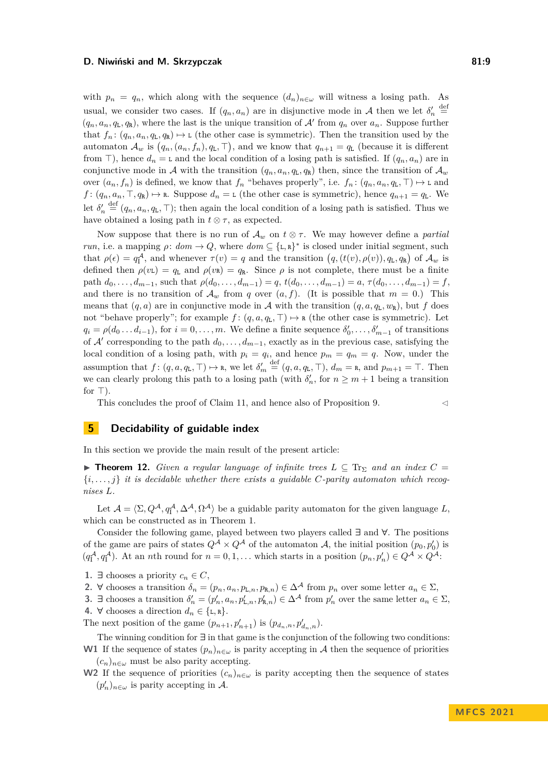with  $p_n = q_n$ , which along with the sequence  $(d_n)_{n \in \omega}$  will witness a losing path. As usual, we consider two cases. If  $(q_n, a_n)$  are in disjunctive mode in A then we let  $\delta'_n \stackrel{\text{def}}{=}$  $(q_n, a_n, q_L, q_R)$ , where the last is the unique transition of A' from  $q_n$  over  $a_n$ . Suppose further that  $f_n: (q_n, a_n, q_L, q_R) \mapsto L$  (the other case is symmetric). Then the transition used by the automaton  $\mathcal{A}_w$  is  $(q_n, (a_n, f_n), q_L, \top)$ , and we know that  $q_{n+1} = q_L$  (because it is different from ⊤), hence  $d_n =$  L and the local condition of a losing path is satisfied. If  $(q_n, a_n)$  are in conjunctive mode in A with the transition  $(q_n, a_n, q_L, q_R)$  then, since the transition of  $\mathcal{A}_w$ over  $(a_n, f_n)$  is defined, we know that  $f_n$  "behaves properly", i.e.  $f_n: (q_n, a_n, q_L, \top) \mapsto \text{L}$  and  $f: (q_n, a_n, \top, q_\mathbb{R}) \mapsto \mathbb{R}$ . Suppose  $d_n = L$  (the other case is symmetric), hence  $q_{n+1} = q_L$ . We let  $\delta'_n \stackrel{\text{def}}{=} (q_n, a_n, q_L, \top)$ ; then again the local condition of a losing path is satisfied. Thus we have obtained a losing path in  $t \otimes \tau$ , as expected.

Now suppose that there is no run of  $\mathcal{A}_w$  on  $t \otimes \tau$ . We may however define a *partial run*, i.e. a mapping  $\rho: dom \to Q$ , where  $dom \subseteq {\{\texttt{L},\texttt{R}\}}^*$  is closed under initial segment, such that  $\rho(\epsilon) = q_1^{\mathcal{A}}$ , and whenever  $\tau(v) = q$  and the transition  $(q, (t(v), \rho(v)), q_L, q_R)$  of  $\mathcal{A}_w$  is defined then  $\rho(v_L) = q_L$  and  $\rho(v_R) = q_R$ . Since  $\rho$  is not complete, there must be a finite path  $d_0, \ldots, d_{m-1}$ , such that  $\rho(d_0, \ldots, d_{m-1}) = q$ ,  $t(d_0, \ldots, d_{m-1}) = a, \tau(d_0, \ldots, d_{m-1}) = f$ , and there is no transition of  $\mathcal{A}_w$  from *q* over  $(a, f)$ . (It is possible that  $m = 0$ .) This means that  $(q, a)$  are in conjunctive mode in A with the transition  $(q, a, q_L, w_R)$ , but f does not "behave properly"; for example  $f : (q, a, q_L, \top) \mapsto \mathbf{R}$  (the other case is symmetric). Let  $q_i = \rho(d_0 \ldots d_{i-1})$ , for  $i = 0, \ldots, m$ . We define a finite sequence  $\delta'_0, \ldots, \delta'_{m-1}$  of transitions of  $A'$  corresponding to the path  $d_0, \ldots, d_{m-1}$ , exactly as in the previous case, satisfying the local condition of a losing path, with  $p_i = q_i$ , and hence  $p_m = q_m = q$ . Now, under the assumption that  $f: (q, a, q_L, \top) \mapsto \mathbf{r}$ , we let  $\delta'_m \stackrel{\text{def}}{=} (q, a, q_L, \top), d_m = \mathbf{r}$ , and  $p_{m+1} = \top$ . Then we can clearly prolong this path to a losing path (with  $\delta'_n$ , for  $n \geq m+1$  being a transition for  $\top$ ).

This concludes the proof of Claim [11,](#page-7-0) and hence also of Proposition [9.](#page-6-0)  $\lhd$ 

# <span id="page-8-0"></span>**5 Decidability of guidable index**

In this section we provide the main result of the present article:

▶ **Theorem 12.** *Given a regular language of infinite trees*  $L \subseteq \text{Tr}_{\Sigma}$  *and an index*  $C =$  $\{i, \ldots, j\}$  *it is decidable whether there exists a guidable C-parity automaton which recognises L.*

Let  $\mathcal{A} = \langle \Sigma, Q^{\mathcal{A}}, q_{\mathbf{I}}^{\mathcal{A}}, \Delta^{\mathcal{A}}, \Omega^{\mathcal{A}} \rangle$  be a guidable parity automaton for the given language  $L$ , which can be constructed as in Theorem [1.](#page-3-0)

Consider the following game, played between two players called **∃** and **∀**. The positions of the game are pairs of states  $Q^{\mathcal{A}} \times Q^{\mathcal{A}}$  of the automaton  $\mathcal{A}$ , the initial position  $(p_0, p'_0)$  is  $(q_1^{\mathcal{A}}, q_1^{\mathcal{A}})$ . At an *n*th round for  $n = 0, 1, \ldots$  which starts in a position  $(p_n, p'_n) \in Q^{\mathcal{A}} \times Q^{\mathcal{A}}$ :

- **1. ∃** chooses a priority  $c_n \in C$ ,
- 2.  $\forall$  chooses a transition  $\delta_n = (p_n, a_n, p_{\text{L},n}, p_{\text{R},n}) \in \Delta^{\mathcal{A}}$  from  $p_n$  over some letter  $a_n \in \Sigma$ ,

**3. ∃** chooses a transition  $\delta'_n = (p'_n, a_n, p'_{L,n}, p'_{R,n}) \in \Delta^{\mathcal{A}}$  from  $p'_n$  over the same letter  $a_n \in \Sigma$ , 4.  $\forall$  chooses a direction  $d_n \in \{\text{L}, \text{R}\}.$ 

The next position of the game  $(p_{n+1}, p'_{n+1})$  is  $(p_{d_n,n}, p'_{d_n,n})$ .

The winning condition for **∃** in that game is the conjunction of the following two conditions: **W1** If the sequence of states  $(p_n)_{n \in \omega}$  is parity accepting in A then the sequence of priorities  $(c_n)_{n \in \omega}$  must be also parity accepting.

**W2** If the sequence of priorities  $(c_n)_{n \in \omega}$  is parity accepting then the sequence of states  $(p'_n)_{n \in \omega}$  is parity accepting in A.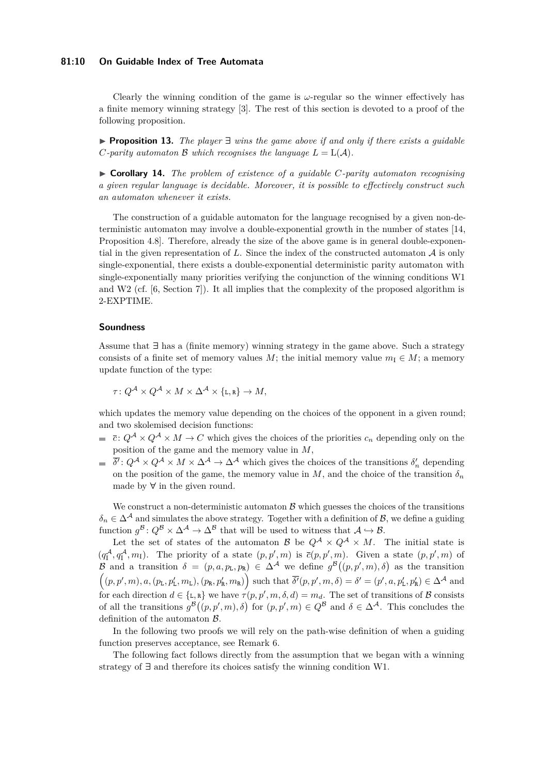## **81:10 On Guidable Index of Tree Automata**

Clearly the winning condition of the game is *ω*-regular so the winner effectively has a finite memory winning strategy [\[3\]](#page-13-20). The rest of this section is devoted to a proof of the following proposition.

▶ **Proposition 13.** *The player* **∃** *wins the game above if and only if there exists a guidable C*-parity automaton B which recognises the language  $L = L(A)$ *.* 

▶ **Corollary 14.** *The problem of existence of a guidable C-parity automaton recognising a given regular language is decidable. Moreover, it is possible to effectively construct such an automaton whenever it exists.*

The construction of a guidable automaton for the language recognised by a given non-deterministic automaton may involve a double-exponential growth in the number of states [\[14,](#page-13-17) Proposition 4.8]. Therefore, already the size of the above game is in general double-exponential in the given representation of  $L$ . Since the index of the constructed automaton  $A$  is only single-exponential, there exists a double-exponential deterministic parity automaton with single-exponentially many priorities verifying the conjunction of the winning conditions W1 and W2 (cf. [\[6,](#page-13-16) Section 7]). It all implies that the complexity of the proposed algorithm is 2-EXPTIME.

#### **Soundness**

Assume that **∃** has a (finite memory) winning strategy in the game above. Such a strategy consists of a finite set of memory values *M*; the initial memory value  $m_1 \in M$ ; a memory update function of the type:

$$
\tau \colon Q^{\mathcal{A}} \times Q^{\mathcal{A}} \times M \times \Delta^{\mathcal{A}} \times \{\mathbf{L}, \mathbf{R}\} \to M,
$$

which updates the memory value depending on the choices of the opponent in a given round: and two skolemised decision functions:

- $\vec{c}$  :  $Q^{\mathcal{A}} \times Q^{\mathcal{A}} \times M \to C$  which gives the choices of the priorities  $c_n$  depending only on the position of the game and the memory value in *M*,
- $\overline{\delta'}$ :  $Q^{\mathcal{A}} \times Q^{\mathcal{A}} \times M \times \Delta^{\mathcal{A}} \to \Delta^{\mathcal{A}}$  which gives the choices of the transitions  $\delta'_n$  depending on the position of the game, the memory value in  $M$ , and the choice of the transition  $\delta_n$ made by **∀** in the given round.

We construct a non-deterministic automaton  $\beta$  which guesses the choices of the transitions  $\delta_n \in \Delta^{\mathcal{A}}$  and simulates the above strategy. Together with a definition of B, we define a guiding function  $g^{\mathcal{B}}: Q^{\mathcal{B}} \times \Delta^{\mathcal{A}} \to \Delta^{\mathcal{B}}$  that will be used to witness that  $\mathcal{A} \hookrightarrow \mathcal{B}$ .

Let the set of states of the automaton  $\mathcal{B}$  be  $Q^{\mathcal{A}} \times Q^{\mathcal{A}} \times M$ . The initial state is  $(q_1^{\mathcal{A}}, q_1^{\mathcal{A}}, m_1)$ . The priority of a state  $(p, p', m)$  is  $\bar{c}(p, p', m)$ . Given a state  $(p, p', m)$  of B and a transition  $\delta = (p, a, p_L, p_R) \in \Delta^{\mathcal{A}}$  we define  $g^{\mathcal{B}}((p, p', m), \delta)$  as the transition  $((p,p',m),a,(p_{\text{L}},p'_{\text{L}},m_{\text{L}}),(p_{\text{R}},p'_{\text{R}},m_{\text{R}}))$  such that  $\overline{\delta'}(p,p',m,\delta)=\delta'=(p',a,p'_{\text{L}},p'_{\text{R}})\in\Delta^{\mathcal{A}}$  and for each direction  $d \in \{L, R\}$  we have  $\tau(p, p', m, \delta, d) = m_d$ . The set of transitions of B consists of all the transitions  $g^{\mathcal{B}}((p, p', m), \delta)$  for  $(p, p', m) \in Q^{\mathcal{B}}$  and  $\delta \in \Delta^{\mathcal{A}}$ . This concludes the definition of the automaton B.

In the following two proofs we will rely on the path-wise definition of when a guiding function preserves acceptance, see Remark [6.](#page-5-0)

The following fact follows directly from the assumption that we began with a winning strategy of **∃** and therefore its choices satisfy the winning condition W1.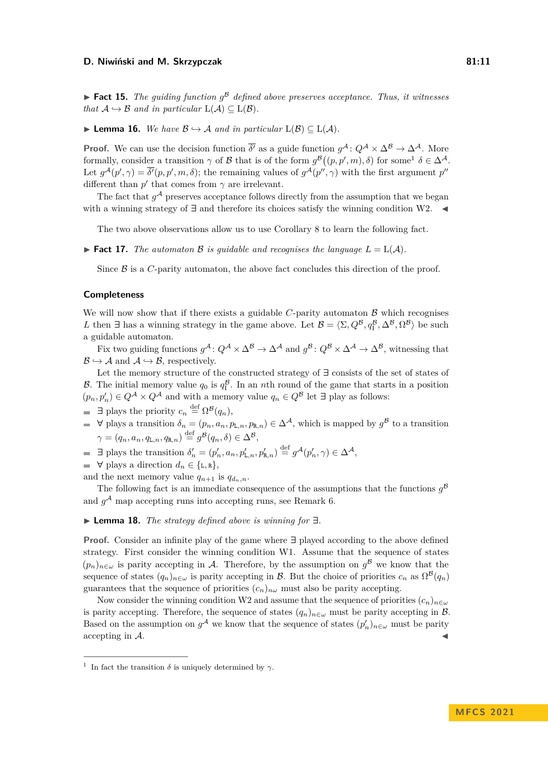$\blacktriangleright$  **Fact 15.** *The guiding function*  $g^B$  *defined above preserves acceptance. Thus, it witnesses that*  $A \hookrightarrow B$  *and in particular*  $L(A) \subseteq L(B)$ *.* 

▶ **Lemma 16.** *We have*  $\mathcal{B} \hookrightarrow \mathcal{A}$  *and in particular*  $L(\mathcal{B}) \subseteq L(\mathcal{A})$ *.* 

**Proof.** We can use the decision function  $\overline{\delta'}$  as a guide function  $g^{\mathcal{A}}: Q^{\mathcal{A}} \times \Delta^{\mathcal{B}} \to \Delta^{\mathcal{A}}$ . More formally, consider a transition  $\gamma$  of B that is of the form  $g^{\mathcal{B}}((p, p', m), \delta)$  for some<sup>[1](#page-10-0)</sup>  $\delta \in \Delta^{\mathcal{A}}$ . Let  $g^{\mathcal{A}}(p',\gamma) = \overline{\delta'}(p,p',m,\delta)$ ; the remaining values of  $g^{\mathcal{A}}(p'',\gamma)$  with the first argument  $p''$ different than  $p'$  that comes from  $\gamma$  are irrelevant.

The fact that  $g^{\mathcal{A}}$  preserves acceptance follows directly from the assumption that we began with a winning strategy of **∃** and therefore its choices satisfy the winning condition W2. ◀

The two above observations allow us to use Corollary [8](#page-5-1) to learn the following fact.

**Fact 17.** The automator B is quidable and recognises the language  $L = L(\mathcal{A})$ .

Since  $\beta$  is a *C*-parity automaton, the above fact concludes this direction of the proof.

#### **Completeness**

We will now show that if there exists a guidable  $C$ -parity automaton  $\beta$  which recognises *L* then  $\exists$  has a winning strategy in the game above. Let  $\mathcal{B} = \langle \Sigma, Q^{\mathcal{B}}, q^{\mathcal{B}}_1, \Delta^{\mathcal{B}}, \Omega^{\mathcal{B}} \rangle$  be such a guidable automaton.

Fix two guiding functions  $g^{\mathcal{A}}: Q^{\mathcal{A}} \times \Delta^{\mathcal{B}} \to \Delta^{\mathcal{A}}$  and  $g^{\mathcal{B}}: Q^{\mathcal{B}} \times \Delta^{\mathcal{A}} \to \Delta^{\mathcal{B}}$ , witnessing that  $\mathcal{B} \hookrightarrow \mathcal{A}$  and  $\mathcal{A} \hookrightarrow \mathcal{B}$ , respectively.

Let the memory structure of the constructed strategy of **∃** consists of the set of states of B. The initial memory value  $q_0$  is  $q_1^B$ . In an *n*th round of the game that starts in a position  $(p_n, p'_n) \in Q^{\mathcal{A}} \times Q^{\mathcal{A}}$  and with a memory value  $q_n \in Q^{\mathcal{B}}$  let  $\exists$  play as follows:

 $\exists$  plays the priority  $c_n \stackrel{\text{def}}{=} \Omega^{\mathcal{B}}(q_n)$ ,

- **∀** plays a transition *δ<sup>n</sup>* = (*pn, an, p*L*,n, p*R*,n*) ∈ ∆<sup>A</sup>, which is mapped by *g* <sup>B</sup> to a transition  $\gamma = (q_n, a_n, q_{\text{L},n}, q_{\text{R},n}) \stackrel{\text{def}}{=} g^{\mathcal{B}}(q_n, \delta) \in \Delta^{\mathcal{B}},$
- $\exists$  plays the transition  $\delta'_n = (p'_n, a_n, p'_{\mathsf{L},n}, p'_{\mathsf{R},n}) \stackrel{\text{def}}{=} g^{\mathcal{A}}(p'_n, \gamma) \in \Delta^{\mathcal{A}},$
- $\blacksquare$   $\forall$  plays a direction  $d_n \in \{\text{L}, \text{R}\},$

and the next memory value  $q_{n+1}$  is  $q_{d_n,n}$ .

The following fact is an immediate consequence of the assumptions that the functions  $g^{\mathcal{B}}$ and  $g<sup>A</sup>$  map accepting runs into accepting runs, see Remark [6.](#page-5-0)

## ▶ **Lemma 18.** *The strategy defined above is winning for* **∃***.*

**Proof.** Consider an infinite play of the game where **∃** played according to the above defined strategy. First consider the winning condition W1. Assume that the sequence of states  $(p_n)_{n\in\omega}$  is parity accepting in A. Therefore, by the assumption on  $g^{\beta}$  we know that the sequence of states  $(q_n)_{n\in\omega}$  is parity accepting in B. But the choice of priorities  $c_n$  as  $\Omega^{\mathcal{B}}(q_n)$ guarantees that the sequence of priorities  $(c_n)_{n\omega}$  must also be parity accepting.

Now consider the winning condition W2 and assume that the sequence of priorities  $(c_n)_{n\in\omega}$ is parity accepting. Therefore, the sequence of states  $(q_n)_{n\in\omega}$  must be parity accepting in  $\mathcal{B}$ . Based on the assumption on  $g^{\mathcal{A}}$  we know that the sequence of states  $(p'_n)_{n \in \omega}$  must be parity  $\alpha$  accepting in  $\mathcal{A}$ .

<span id="page-10-0"></span><sup>&</sup>lt;sup>1</sup> In fact the transition  $\delta$  is uniquely determined by  $\gamma$ .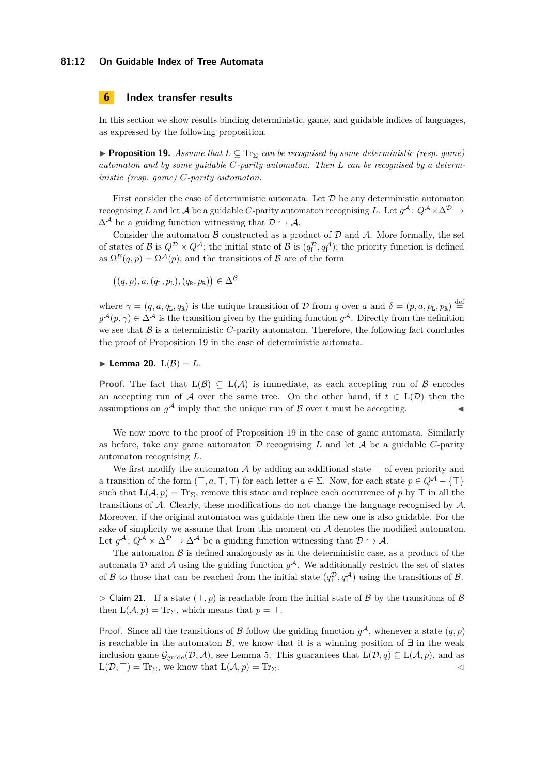## **81:12 On Guidable Index of Tree Automata**

# **6 Index transfer results**

In this section we show results binding deterministic, game, and guidable indices of languages, as expressed by the following proposition.

<span id="page-11-0"></span>**• Proposition 19.** *Assume that*  $L \subseteq Tr_{\Sigma}$  *can be recognised by some deterministic (resp. game) automaton and by some guidable C-parity automaton. Then L can be recognised by a deterministic (resp. game) C-parity automaton.*

First consider the case of deterministic automata. Let  $\mathcal D$  be any deterministic automaton recognising *L* and let  $\mathcal A$  be a guidable  $C$ -parity automaton recognising  $L$ . Let  $g^{\mathcal A}$ :  $Q^{\mathcal A} \times \Delta^{\mathcal D} \to$  $\Delta^{\mathcal{A}}$  be a guiding function witnessing that  $\mathcal{D} \hookrightarrow \mathcal{A}$ .

Consider the automaton  $\beta$  constructed as a product of  $\mathcal D$  and  $\mathcal A$ . More formally, the set of states of  $\mathcal{B}$  is  $Q^{\mathcal{D}} \times Q^{\mathcal{A}}$ ; the initial state of  $\mathcal{B}$  is  $(q_1^{\mathcal{D}}, q_1^{\mathcal{A}})$ ; the priority function is defined as  $\Omega^{\mathcal{B}}(q,p) = \Omega^{\mathcal{A}}(p)$ ; and the transitions of  $\mathcal{B}$  are of the form

$$
((q, p), a, (qL, pL), (qR, pR)) \in \Delta^{\mathcal{B}}
$$

where  $\gamma = (q, a, q_L, q_R)$  is the unique transition of D from q over a and  $\delta = (p, a, p_L, p_R) \stackrel{\text{def}}{=}$  $g^{\mathcal{A}}(p,\gamma) \in \Delta^{\mathcal{A}}$  is the transition given by the guiding function  $g^{\mathcal{A}}$ . Directly from the definition we see that  $\beta$  is a deterministic *C*-parity automaton. Therefore, the following fact concludes the proof of Proposition [19](#page-11-0) in the case of deterministic automata.

## $\blacktriangleright$  **Lemma 20.**  $L(\mathcal{B}) = L$ .

**Proof.** The fact that  $L(\mathcal{B}) \subseteq L(\mathcal{A})$  is immediate, as each accepting run of  $\mathcal{B}$  encodes an accepting run of A over the same tree. On the other hand, if  $t \in L(\mathcal{D})$  then the assumptions on  $g^{\mathcal{A}}$  imply that the unique run of  $\mathcal{B}$  over  $t$  must be accepting.

We now move to the proof of Proposition [19](#page-11-0) in the case of game automata. Similarly as before, take any game automaton  $D$  recognising  $L$  and let  $A$  be a guidable  $C$ -parity automaton recognising *L*.

We first modify the automaton A by adding an additional state  $\top$  of even priority and a transition of the form  $(\top, a, \top, \top)$  for each letter  $a \in \Sigma$ . Now, for each state  $p \in Q^{\mathcal{A}} - \{\top\}$ such that  $L(\mathcal{A}, p) = \text{Tr}_{\Sigma}$ , remove this state and replace each occurrence of p by  $\top$  in all the transitions of A. Clearly, these modifications do not change the language recognised by A. Moreover, if the original automaton was guidable then the new one is also guidable. For the sake of simplicity we assume that from this moment on  $A$  denotes the modified automaton. Let  $g^{\mathcal{A}}: Q^{\mathcal{A}} \times \Delta^{\mathcal{D}} \to \Delta^{\mathcal{A}}$  be a guiding function witnessing that  $\mathcal{D} \hookrightarrow \mathcal{A}$ .

The automaton  $\beta$  is defined analogously as in the deterministic case, as a product of the automata  $D$  and  $A$  using the guiding function  $g^A$ . We additionally restrict the set of states of  $\mathcal B$  to those that can be reached from the initial state  $(q_1^{\mathcal D}, q_1^{\mathcal A})$  using the transitions of  $\mathcal B$ .

▷ Claim 21. If a state (⊤*, p*) is reachable from the initial state of B by the transitions of B then  $L(\mathcal{A}, p) = \text{Tr}_{\Sigma}$ , which means that  $p = \top$ .

Proof. Since all the transitions of B follow the guiding function  $g^{\mathcal{A}}$ , whenever a state  $(q, p)$ is reachable in the automaton  $\mathcal{B}$ , we know that it is a winning position of  $\exists$  in the weak inclusion game  $\mathcal{G}_{\text{guide}}(\mathcal{D}, \mathcal{A})$ , see Lemma [5.](#page-4-2) This guarantees that  $L(\mathcal{D}, q) \subseteq L(\mathcal{A}, p)$ , and as  $L(\mathcal{D}, \top) = \text{Tr}_{\Sigma}$ , we know that  $L(\mathcal{A}, p) = \text{Tr}_{\Sigma}$ .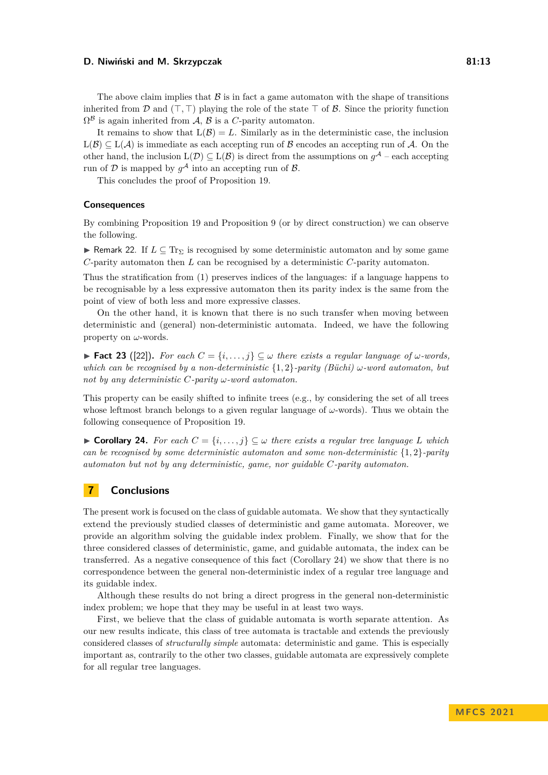The above claim implies that  $\beta$  is in fact a game automaton with the shape of transitions inherited from D and  $(T, T)$  playing the role of the state  $T$  of B. Since the priority function  $\Omega^{\mathcal{B}}$  is again inherited from  $\mathcal{A}, \mathcal{B}$  is a *C*-parity automaton.

It remains to show that  $L(\mathcal{B}) = L$ . Similarly as in the deterministic case, the inclusion  $L(\mathcal{B}) \subseteq L(\mathcal{A})$  is immediate as each accepting run of  $\mathcal{B}$  encodes an accepting run of  $\mathcal{A}$ . On the other hand, the inclusion  $L(\mathcal{D}) \subseteq L(\mathcal{B})$  is direct from the assumptions on  $g^{\mathcal{A}}$  – each accepting run of  $D$  is mapped by  $g^{\mathcal{A}}$  into an accepting run of  $\mathcal{B}$ .

This concludes the proof of Proposition [19.](#page-11-0)

## **Consequences**

By combining Proposition [19](#page-11-0) and Proposition [9](#page-6-0) (or by direct construction) we can observe the following.

**► Remark 22.** If  $L \subseteq Tr_{\Sigma}$  is recognised by some deterministic automaton and by some game *C*-parity automaton then *L* can be recognised by a deterministic *C*-parity automaton.

Thus the stratification from [\(1\)](#page-6-1) preserves indices of the languages: if a language happens to be recognisable by a less expressive automaton then its parity index is the same from the point of view of both less and more expressive classes.

On the other hand, it is known that there is no such transfer when moving between deterministic and (general) non-deterministic automata. Indeed, we have the following property on *ω*-words.

**► Fact 23** ([\[22\]](#page-13-21)). For each  $C = \{i, \ldots, j\} \subseteq \omega$  there exists a regular language of  $\omega$ -words, *which can be recognised by a non-deterministic* {1*,* 2}*-parity (Büchi) ω-word automaton, but not by any deterministic C-parity ω-word automaton.*

This property can be easily shifted to infinite trees (e.g., by considering the set of all trees whose leftmost branch belongs to a given regular language of *ω*-words). Thus we obtain the following consequence of Proposition [19.](#page-11-0)

<span id="page-12-0"></span>▶ **Corollary 24.** *For each*  $C = \{i, \ldots, j\} \subseteq \omega$  *there exists a regular tree language L which can be recognised by some deterministic automaton and some non-deterministic* {1*,* 2}*-parity automaton but not by any deterministic, game, nor guidable C-parity automaton.*

# **7 Conclusions**

The present work is focused on the class of guidable automata. We show that they syntactically extend the previously studied classes of deterministic and game automata. Moreover, we provide an algorithm solving the guidable index problem. Finally, we show that for the three considered classes of deterministic, game, and guidable automata, the index can be transferred. As a negative consequence of this fact (Corollary [24\)](#page-12-0) we show that there is no correspondence between the general non-deterministic index of a regular tree language and its guidable index.

Although these results do not bring a direct progress in the general non-deterministic index problem; we hope that they may be useful in at least two ways.

First, we believe that the class of guidable automata is worth separate attention. As our new results indicate, this class of tree automata is tractable and extends the previously considered classes of *structurally simple* automata: deterministic and game. This is especially important as, contrarily to the other two classes, guidable automata are expressively complete for all regular tree languages.